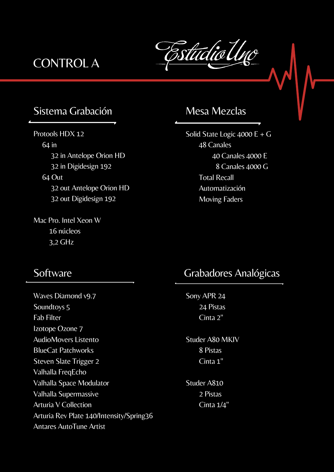tudio

# Sistema Grabación **Mesa Mezclas**

Protools HDX 12 64 in 32 in Antelope Orion HD 32 in Digidesign 192 64 Out 32 out Antelope Orion HD 32 out Digidesign 192

Mac Pro. Intel Xeon W 16 núcleos 3,2 GHz

Solid State Logic 4000 E + G 48 Canales 40 Canales 4000 E 8 Canales 4000 G Total Recall Automatización Moving Faders

#### **Software**

Waves Diamond v9.7 Soundtoys 5 Fab Filter Izotope Ozone 7 AudioMovers Listento BlueCat Patchworks Steven Slate Trigger 2 Valhalla FreqEcho Valhalla Space Modulator Valhalla Supermassive Arturia V Collection Arturia Rev Plate 140/Intensity/Spring36 Antares AutoTune Artist

# Grabadores Analógicas

Sony APR 24 24 Pistas Cinta 2"

Studer A80 MKIV 8 Pistas Cinta 1"

Studer A810 2 Pistas Cinta 1/4"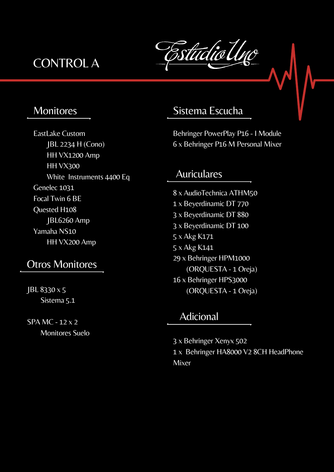tudio

#### **Monitores**

EastLake Custom JBL 2234 H (Cono) HH VX1200 Amp HH VX300 White Instruments 4400 Eq Genelec 1031 Focal Twin 6 BE Quested H108 JBL6260 Amp Yamaha NS10 HH VX200 Amp

### Otros Monitores

JBL 8330 x 5 Sistema 5.1

SPA MC - 12 x 2 Monitores Suelo

# Sistema Escucha

Behringer PowerPlay P16 - I Module 6 x Behringer P16 M Personal Mixer

#### Auriculares

 x AudioTechnica ATHM50 x Beyerdinamic DT 770 x Beyerdinamic DT 880 x Beyerdinamic DT 100 x Akg K171 x Akg K141 x Behringer HPM1000 (ORQUESTA - 1 Oreja) x Behringer HPS3000 (ORQUESTA - 1 Oreja)

# **Adicional**

3 x Behringer Xenyx 502 1 x Behringer HA8000 V2 8CH HeadPhone Mixer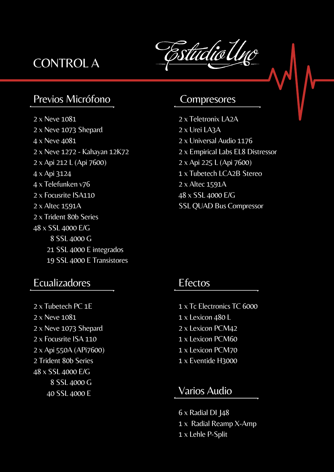tudiol

## Previos Micrófono

 x Neve 1081 x Neve 1073 Shepard x Neve 4081 x Neve 1272 - Kahayan 12K72 x Api 212 L (Api 7600) x Api 3124 x Telefunken v76 x Focusrite ISA110 x Altec 1591A x Trident 80b Series x SSL 4000 E/G SSL 4000 G SSL 4000 E integrados SSL 4000 E Transistores

### **Compresores**

 x Teletronix LA2A x Urei LA3A x Universal Audio 1176 x Empirical Labs EL8 Distressor x Api 225 L (Api 7600) x Tubetech LCA2B Stereo x Altec 1591A x SSL 4000 E/G SSL QUAD Bus Compressor

# Ecualizadores

 x Tubetech PC 1E x Neve 1081 x Neve 1073 Shepard x Focusrite ISA 110 x Api 550A (APi7600) Trident 80b Series x SSL 4000 E/G SSL 4000 G SSL 4000 E

## Efectos

- x Tc Electronics TC 6000 x Lexicon 480 L
- x Lexicon PCM42
- x Lexicon PCM60
- x Lexicon PCM70
- x Eventide H3000

#### Varios Audio

 x Radial DI J48 x Radial Reamp X-Amp x Lehle P-Split